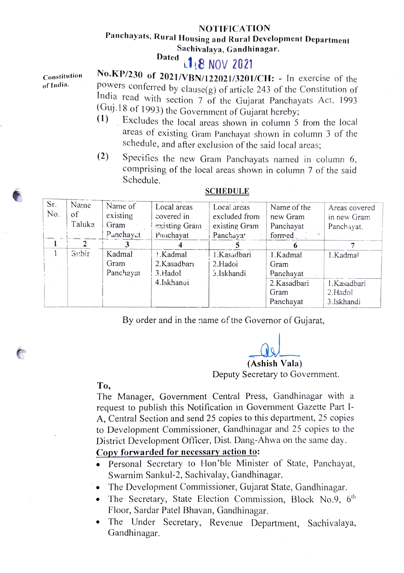## NOTIFICATION

# Panchayats, Rural Housing and Rural Development Department<br>Sachivalaya, Gandhinagar.<br>Dated 18 NOV 2021

|              | <b>APIC INUV LULI</b>                                                   |  |  |  |  |  |
|--------------|-------------------------------------------------------------------------|--|--|--|--|--|
| Constitution | No.KP/230 of 2021/VBN/122021/3201/CH: - In exercise of the              |  |  |  |  |  |
| of India.    | powers conferred by clause( $g$ ) of article 243 of the Constitution of |  |  |  |  |  |
|              | India read with section 7 of the Gujarat Panchayats Act, 1993           |  |  |  |  |  |
|              | (Guj.18 of 1993) the Government of Gujarat hereby;                      |  |  |  |  |  |
|              | $(1)$ . Excludes the local areas shown in column 5 from the local       |  |  |  |  |  |

- areas of existing Gram Panchayat shown in column 3 of the schedule, and after exclusion of the said local areas
- (2) Specifies the new Gram Panchayats named in colum comprising of the local areas shown in column 7 of the said Schedule.

| Sr.<br>No. | Name<br>of<br>Taluka | Name of<br>existing<br>Gram | Local areas<br>covered in<br>existing Gram | Local areas<br>excluded from<br>existing Gram | Name of the<br>new Gram<br>Panchayat | Areas covered<br>in new Gram<br>Panchayat. |
|------------|----------------------|-----------------------------|--------------------------------------------|-----------------------------------------------|--------------------------------------|--------------------------------------------|
|            |                      | Panchayat                   | Pauchayat                                  | Panchayat                                     | formed                               |                                            |
|            |                      |                             |                                            |                                               |                                      |                                            |
|            | Subir                | Kadmal                      | 1.Kadmal                                   | 1.Kasadbari                                   | 1.Kadmal                             | 1.Kadmal                                   |
|            |                      | Gram                        | 2. Kasadbarı                               | 2.Hadoi                                       | Gram                                 |                                            |
|            |                      | Panchayat                   | 3.Hadol                                    | 3.Iskhandi                                    | Panchayat                            |                                            |
|            |                      |                             | 4.Iskhandi                                 |                                               | 2.Kasadbari                          | 1.Kasadbari                                |
|            |                      |                             |                                            |                                               | Gram                                 | 2.Hadol                                    |
|            |                      |                             |                                            |                                               | Panchayat                            | 3.Iskhandi                                 |

### SCHEDULE

By order and in the name of the Governor of Gujarat,

(Ashish Vala) Deputy Secretary to Government.

To,

The Manager, Government Central Press, Gandhinagar with a request to publish this Notification in Government Gazette Part 1- A, Central Section and send 25 copies to this department, 25 copies to Development Commissioner, Gandhinagar and 25 copies to the District Development Officer, Dist. Dang-Ahwa on the same day.

## Copy forwarded for necessary action to:

- .Personal Secretary to Hon'ble Minister of State, Panchayat, Swarnim Sankul-2, Sachivalay, Gandhinagar.
- The Development Commissioner, Gujarat State, Gandhinagar.
- The Secretary, State Election Commission, Block No.9,  $6<sup>th</sup>$ Floor, Sardar Patel Bhavan, Gandhinagar.
- The Under Secretary, Revenue Department, Sachivalaya, Gandhinagar.